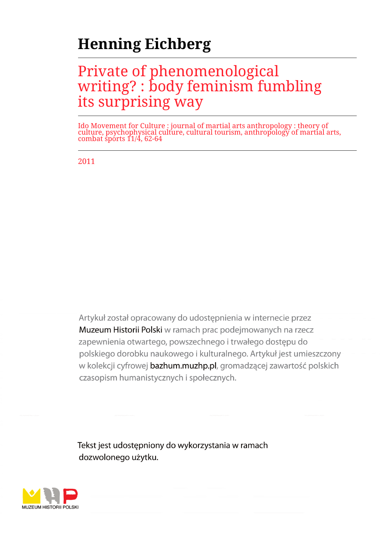# **Henning Eichberg**

# Private of phenomenological writing? : body feminism fumbling its surprising way

Ido Movement for Culture : journal of martial arts anthropology : theory of culture, psychophysical culture, cultural tourism, anthropology of martial arts, combat sports 11/4, 62-64

2011

Artykuł został opracowany do udostepnienia w internecie przez Muzeum Historii Polski w ramach prac podejmowanych na rzecz zapewnienia otwartego, powszechnego i trwałego dostępu do polskiego dorobku naukowego i kulturalnego. Artykuł jest umieszczony w kolekcji cyfrowej bazhum.muzhp.pl, gromadzącej zawartość polskich czasopism humanistycznych i społecznych.

Tekst jest udostępniony do wykorzystania w ramach dozwolonego użytku.

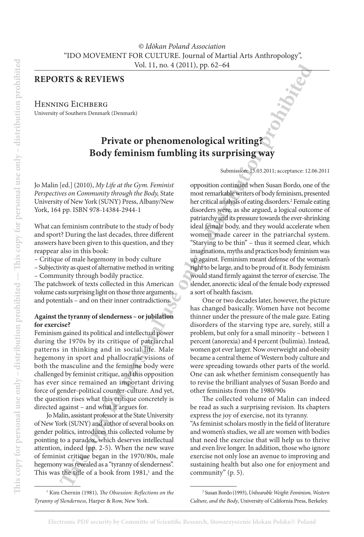### **Reports & Reviews**

HENNING EICHBERG University of Southern Denmark (Denmark)

## **Private or phenomenological writing? Body feminism fumbling its surprising way**

Jo Malin [ed.] (2010), *My Life at the Gym. Feminist Perspectives on Community through the Body,* State University of New York (SUNY) Press, Albany/New York, 164 pp. ISBN 978-14384-2944-1

What can feminism contribute to the study of body and sport? During the last decades, three different answers have been given to this question, and they reappear also in this book:

– Critique of male hegemony in body culture

– Subjectivity as quest of alternative method in writing

– Community through bodily practice.

The patchwork of texts collected in this American volume casts surprising light on those three arguments and potentials – and on their inner contradictions.

#### **Against the tyranny of slenderness – or jubilation for exercise?**

Feminism gained its political and intellectual power during the 1970s by its critique of patriarchal patterns in thinking and in social life. Male hegemony in sport and phallocratic visions of both the masculine and the feminine body were challenged by feminist critique, and this opposition has ever since remained an important driving force of gender-political counter-culture. And yet, the question rises what this critique concretely is directed against – and what it argues for.

Jo Malin, assistant professor at the State University of New York (SUNY) and author of several books on gender politics, introduces this collected volume by pointing to a paradox, which deserves intellectual attention, indeed (pp. 2-5). When the new wave of feminist critique began in the 1970/80s, male hegemony was revealed as a "tyranny of slenderness". This was the title of a book from  $1981<sup>1</sup>$  and the Submission: 15.03.2011; acceptance: 12.06.2011

**The Columbial Use of the Comparison Control is a computer of southern and the Comparison of Southern Andre Comparison (Southern Andre Comparison Comparison Comparison (4.1, 2010), My** *Igh ex the Gym. Ferminal and Souther* opposition continued when Susan Bordo, one of the most remarkable writers of body feminism, presented her critical analysis of eating disorders.2 Female eating disorders were, as she argued, a logical outcome of patriarchy and its pressure towards the ever-shrinking ideal female body, and they would accelerate when women made career in the patriarchal system. "Starving to be thin" – thus it seemed clear, which imaginations, myths and practices body feminism was up against. Feminism meant defense of the woman's right to be large, and to be proud of it. Body feminism would stand firmly against the terror of exercise. The slender, anorectic ideal of the female body expressed a sort of health fascism.

One or two decades later, however, the picture has changed basically. Women have not become thinner under the pressure of the male gaze. Eating disorders of the starving type are, surely, still a problem, but only for a small minority – between 1 percent (anorexia) and 4 percent (bulimia). Instead, women got ever larger. Now overweight and obesity became a central theme of Western body culture and were spreading towards other parts of the world. One can ask whether feminism consequently has to revise the brilliant analyses of Susan Bordo and other feminists from the 1980/90s

The collected volume of Malin can indeed be read as such a surprising revision. Its chapters express the joy of exercise, not its tyranny. "As feminist scholars mostly in the field of literature and women's studies, we all are women with bodies that need the exercise that will help us to thrive

and even live longer. In addition, those who ignore exercise not only lose an avenue to improving and sustaining health but also one for enjoyment and community" (p. 5).

<sup>1</sup> Kim Chernin (1981), *The Obsession: Reflections on the Tyranny of Slenderness*, Harper & Row, New York.

<sup>2</sup> Susan Bordo (1993), *Unbearable Weight: Feminism, Western Culture, and the Body*, University of California Press, Berkeley.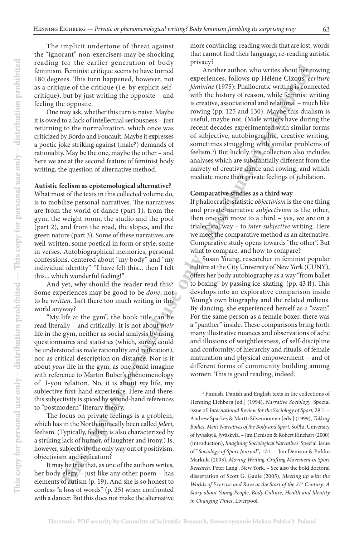The implicit undertone of threat against the "ignorant" non-exercisers may be shocking reading for the earlier generation of body feminism. Feminist critique seems to have turned 180 degrees. This turn happened, however, not as a critique of the critique (i.e. by explicit selfcritique), but by just writing the opposite – and feeling the opposite.

One may ask, whether this turn is naive. Maybe it is owed to a lack of intellectual seriousness – just returning to the normalization, which once was criticized by Bordo and Foucault. Maybe it expresses a poetic joke striking against (male?) demands of rationality. May be the one, maybe the other – and here we are at the second feature of feminist body writing, the question of alternative method.

#### **Autistic feelism as epistemological alternative?**

What most of the texts in this collected volume do, is to mobilize personal narratives. The narratives are from the world of dance (part 1), from the gym, the weight room, the studio and the pool (part 2), and from the road, the slopes, and the green nature (part 3). Some of these narratives are well-written, some poetical in form or style, some in verses. Autobiographical memories, personal confessions, centered about "my body" and "my individual identity". "I have felt this... then I felt this... which wonderful feeling!"

And yet, why should the reader read this? Some experiences may be good to be *done*, not to be *written*. Isn't there too much writing in this world anyway?

"My life at the gym", the book title can be read literally – and critically: It is not about *their* life in the gym, neither as social analysis by using questionnaires and statistics (which, surely, could be understood as male rationality and reification), nor as critical description on distance. Nor is it about *your* life in the gym, as one could imagine with reference to Martin Buber's phenomenology of I-you relation. No, it is about *my* life, my subjective first-hand experience. Here and there, this subjectivity is spiced by second-hand references to "postmodern" literary theory.

The focus on private feelings is a problem, which has in the North ironically been called *føleri*, feelism. (Typically, feelism is also characterized by a striking lack of humor, of laughter and irony.) Is, however, subjectivity the only way out of positivism, objectivism and reification?

more convincing: reading words that are lost, words that cannot find their language, re-reading autistic privacy?

Another author, who writes about her rowing experiences, follows up Hélène Cixous' *écriture féminine* (1975): Phallocratic writing is connected with the history of reason, while feminist writing is creative, associational and relational – much like rowing (pp. 125 and 130). Maybe this dualism is useful, maybe not. (Male writers have during the recent decades experimented with similar forms of subjective, autobiographic, creative writing, sometimes struggling with similar problems of feelism.3 ) But luckily this collection also includes analyses which are substantially different from the naivety of creative dance and rowing, and which mediate more than private feelings of jubilation.

### **Comparative studies as a third way**

If phallocratic-statistic *objectivism* is the one thing and private-narrative *subjectivism* is the other, then one can move to a third – yes, we are on a trialectical way – to *inter-subjective* writing. Here we meet the comparative method as an alternative. Comparative study opens towards "the other". But what to compare, and how to compare?

For the state of the training the state of the state of the state of the state of the state of the training in the state of the state of the state of the state of the state of the state of the state of the state of the st Susan Young, researcher in feminist popular culture at the City University of New York (CUNY), offers her body autobiography as a way "from ballet to boxing" by passing ice-skating (pp. 43 ff). This develops into an explorative comparison inside Young's own biography and the related milieus. By dancing, she experienced herself as a "swan". For the same person as a female boxer, there was a "panther" inside. These comparisons bring forth many illustrative nuances and observations of ache and illusions of weightlessness, of self-discipline and conformity, of hierarchy and rituals, of female maturation and physical empowerment – and of different forms of community building among women. This is good reading, indeed.

It may be true that, as one of the authors writes, her body elegy – just like any other poem – has elements of autism (p. 19). And she is so honest to confess "a loss of words" (p. 25) when confronted with a dancer. But this does not make the alternative

<sup>3</sup> Finnish, Danish and English texts in the collections of Henning Eichberg [ed.] (1994), *Narrative Sociology*. Special issue of: *International Review for the Sociology of Sport*, 29:1. – Andrew Sparkes & Martti Silvennoinen [eds.] (1999), *Talking Bodies. Men's Narratives of the Body and Sport,* SoPhi, University of Jyväskylä, Jyväskylä. – Jim Denison & Robert Rinehart (2000) (introduction), *Imagining Sociological Narratives*. Special issue of "*Sociology of Sport Journal"*, 17:1. – Jim Denison & Pirkko Markula (2003), *Moving Writing. Crafting Movement in Sport Research*, Peter Lang , New York. – See also the bold doctoral dissertation of Scott G. Gaule (2005), *Meeting up with the Worlds of Exercise and Rave at the Start of the 21st Century: A Story about Young People, Body Culture, Health and Identity in Changing Times*, Liverpool.